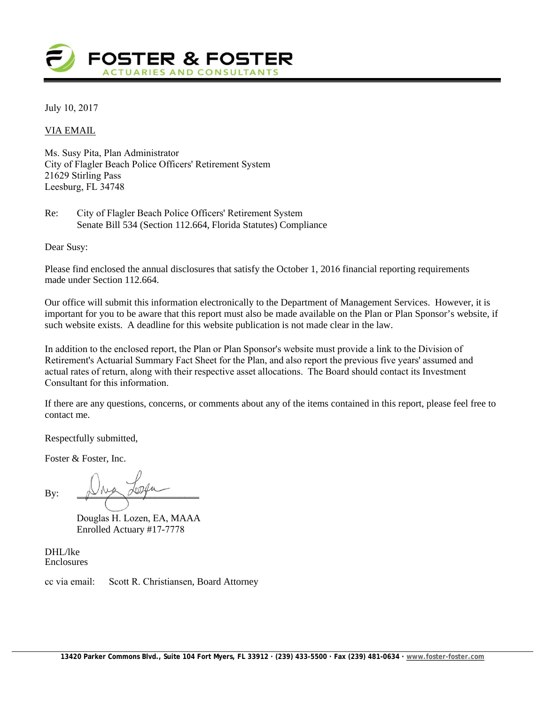

July 10, 2017

#### VIA EMAIL

Ms. Susy Pita, Plan Administrator City of Flagler Beach Police Officers' Retirement System 21629 Stirling Pass Leesburg, FL 34748

Re: City of Flagler Beach Police Officers' Retirement System Senate Bill 534 (Section 112.664, Florida Statutes) Compliance

Dear Susy:

Please find enclosed the annual disclosures that satisfy the October 1, 2016 financial reporting requirements made under Section 112.664.

Our office will submit this information electronically to the Department of Management Services. However, it is important for you to be aware that this report must also be made available on the Plan or Plan Sponsor's website, if such website exists. A deadline for this website publication is not made clear in the law.

In addition to the enclosed report, the Plan or Plan Sponsor's website must provide a link to the Division of Retirement's Actuarial Summary Fact Sheet for the Plan, and also report the previous five years' assumed and actual rates of return, along with their respective asset allocations. The Board should contact its Investment Consultant for this information.

If there are any questions, concerns, or comments about any of the items contained in this report, please feel free to contact me.

Respectfully submitted,

Foster & Foster, Inc.

By:  $\mathbb{D}^{\text{max}}$ 

Douglas H. Lozen, EA, MAAA Enrolled Actuary #17-7778

DHL/lke Enclosures

cc via email: Scott R. Christiansen, Board Attorney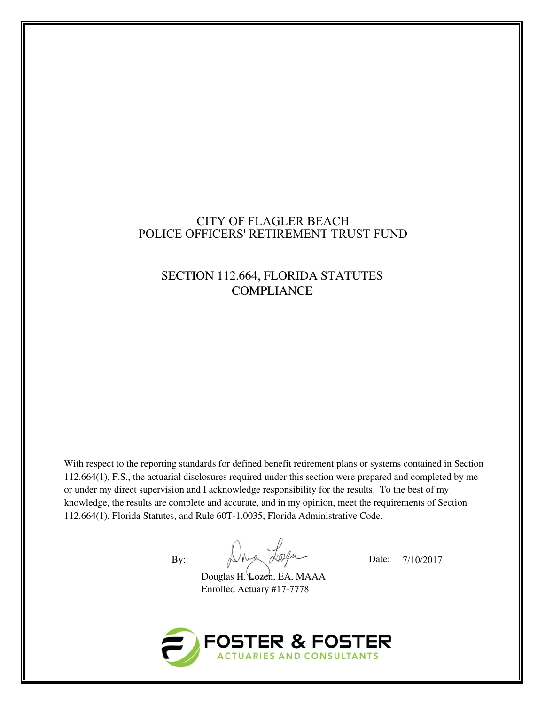# CITY OF FLAGLER BEACH POLICE OFFICERS' RETIREMENT TRUST FUND

# SECTION 112.664, FLORIDA STATUTES **COMPLIANCE**

With respect to the reporting standards for defined benefit retirement plans or systems contained in Section 112.664(1), F.S., the actuarial disclosures required under this section were prepared and completed by me or under my direct supervision and I acknowledge responsibility for the results. To the best of my knowledge, the results are complete and accurate, and in my opinion, meet the requirements of Section 112.664(1), Florida Statutes, and Rule 60T-1.0035, Florida Administrative Code.

By: Date: 7/10/2017

Douglas H. Lozen, EA, MAAA Enrolled Actuary #17-7778

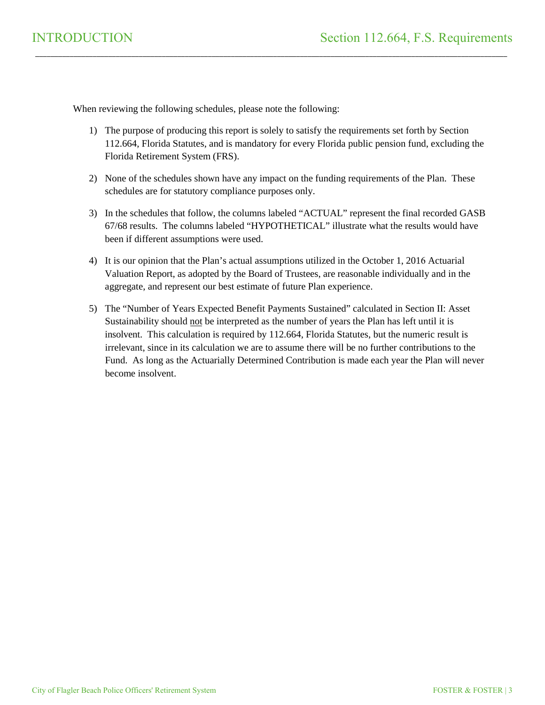When reviewing the following schedules, please note the following:

1) The purpose of producing this report is solely to satisfy the requirements set forth by Section 112.664, Florida Statutes, and is mandatory for every Florida public pension fund, excluding the Florida Retirement System (FRS).

\_\_\_\_\_\_\_\_\_\_\_\_\_\_\_\_\_\_\_\_\_\_\_\_\_\_\_\_\_\_\_\_\_\_\_\_\_\_\_\_\_\_\_\_\_\_\_\_\_\_\_\_\_\_\_\_\_\_\_\_\_\_\_\_\_\_\_\_\_\_\_\_\_\_\_\_\_\_\_\_\_\_\_\_\_\_\_\_\_\_\_\_\_\_\_\_\_\_\_\_\_\_\_\_\_\_\_\_\_\_\_\_\_\_\_\_\_\_\_\_\_\_\_

- 2) None of the schedules shown have any impact on the funding requirements of the Plan. These schedules are for statutory compliance purposes only.
- 3) In the schedules that follow, the columns labeled "ACTUAL" represent the final recorded GASB 67/68 results. The columns labeled "HYPOTHETICAL" illustrate what the results would have been if different assumptions were used.
- 4) It is our opinion that the Plan's actual assumptions utilized in the October 1, 2016 Actuarial Valuation Report, as adopted by the Board of Trustees, are reasonable individually and in the aggregate, and represent our best estimate of future Plan experience.
- 5) The "Number of Years Expected Benefit Payments Sustained" calculated in Section II: Asset Sustainability should not be interpreted as the number of years the Plan has left until it is insolvent. This calculation is required by 112.664, Florida Statutes, but the numeric result is irrelevant, since in its calculation we are to assume there will be no further contributions to the Fund. As long as the Actuarially Determined Contribution is made each year the Plan will never become insolvent.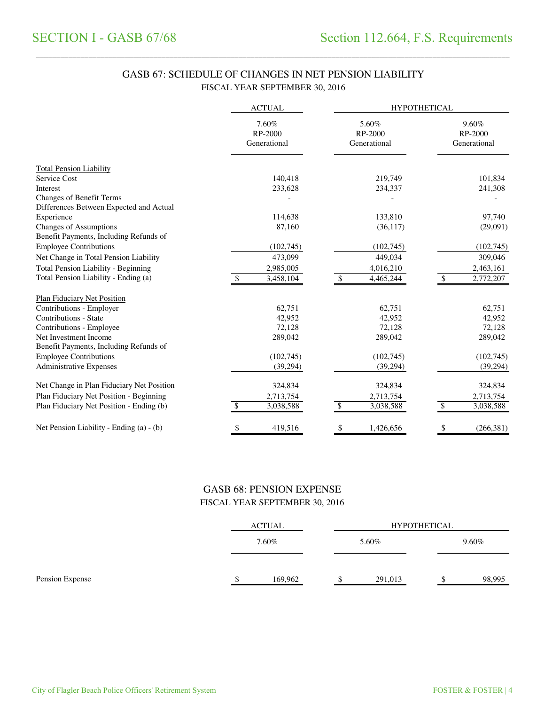# GASB 67: SCHEDULE OF CHANGES IN NET PENSION LIABILITY FISCAL YEAR SEPTEMBER 30, 2016

\_\_\_\_\_\_\_\_\_\_\_\_\_\_\_\_\_\_\_\_\_\_\_\_\_\_\_\_\_\_\_\_\_\_\_\_\_\_\_\_\_\_\_\_\_\_\_\_\_\_\_\_\_\_\_\_\_\_\_\_\_\_\_\_\_\_\_\_\_\_\_\_\_\_\_\_\_\_\_\_\_\_\_\_\_\_\_\_\_\_\_\_\_\_\_\_\_\_\_\_\_\_\_\_\_\_\_\_\_\_\_\_\_\_\_\_\_\_\_\_\_\_\_\_\_\_\_\_\_\_\_\_\_

|                                                                         | <b>ACTUAL</b>                    | <b>HYPOTHETICAL</b> |                                  |    |                                  |  |
|-------------------------------------------------------------------------|----------------------------------|---------------------|----------------------------------|----|----------------------------------|--|
|                                                                         | 7.60%<br>RP-2000<br>Generational |                     | 5.60%<br>RP-2000<br>Generational |    | 9.60%<br>RP-2000<br>Generational |  |
| <b>Total Pension Liability</b>                                          |                                  |                     |                                  |    |                                  |  |
| Service Cost                                                            | 140,418                          |                     | 219,749                          |    | 101,834                          |  |
| Interest                                                                | 233,628                          |                     | 234,337                          |    | 241,308                          |  |
| Changes of Benefit Terms<br>Differences Between Expected and Actual     |                                  |                     |                                  |    |                                  |  |
| Experience                                                              | 114,638                          |                     | 133,810                          |    | 97,740                           |  |
| <b>Changes of Assumptions</b><br>Benefit Payments, Including Refunds of | 87,160                           |                     | (36,117)                         |    | (29,091)                         |  |
| <b>Employee Contributions</b>                                           | (102,745)                        |                     | (102,745)                        |    | (102, 745)                       |  |
| Net Change in Total Pension Liability                                   | 473,099                          |                     | 449,034                          |    | 309,046                          |  |
| <b>Total Pension Liability - Beginning</b>                              | 2,985,005                        |                     | 4,016,210                        |    | 2,463,161                        |  |
| Total Pension Liability - Ending (a)                                    | 3,458,104                        | \$                  | 4,465,244                        | \$ | 2,772,207                        |  |
| <b>Plan Fiduciary Net Position</b>                                      |                                  |                     |                                  |    |                                  |  |
| Contributions - Employer                                                | 62,751                           |                     | 62,751                           |    | 62,751                           |  |
| Contributions - State                                                   | 42,952                           |                     | 42,952                           |    | 42,952                           |  |
| Contributions - Employee                                                | 72,128                           |                     | 72,128                           |    | 72,128                           |  |
| Net Investment Income<br>Benefit Payments, Including Refunds of         | 289,042                          |                     | 289,042                          |    | 289,042                          |  |
| <b>Employee Contributions</b>                                           | (102,745)                        |                     | (102,745)                        |    | (102,745)                        |  |
| <b>Administrative Expenses</b>                                          | (39, 294)                        |                     | (39, 294)                        |    | (39, 294)                        |  |
| Net Change in Plan Fiduciary Net Position                               | 324,834                          |                     | 324,834                          |    | 324,834                          |  |
| Plan Fiduciary Net Position - Beginning                                 | 2,713,754                        |                     | 2,713,754                        |    | 2,713,754                        |  |
| Plan Fiduciary Net Position - Ending (b)                                | 3,038,588                        | \$                  | 3,038,588                        |    | 3,038,588                        |  |
| Net Pension Liability - Ending (a) - (b)                                | \$<br>419,516                    | \$                  | 1,426,656                        | \$ | (266,381)                        |  |

# GASB 68: PENSION EXPENSE FISCAL YEAR SEPTEMBER 30, 2016

|                 | <b>ACTUAL</b> |         |         | <b>HYPOTHETICAL</b> |          |  |
|-----------------|---------------|---------|---------|---------------------|----------|--|
|                 |               | 7.60%   | 5.60%   |                     | $9.60\%$ |  |
| Pension Expense |               | 169,962 | 291,013 |                     | 98,995   |  |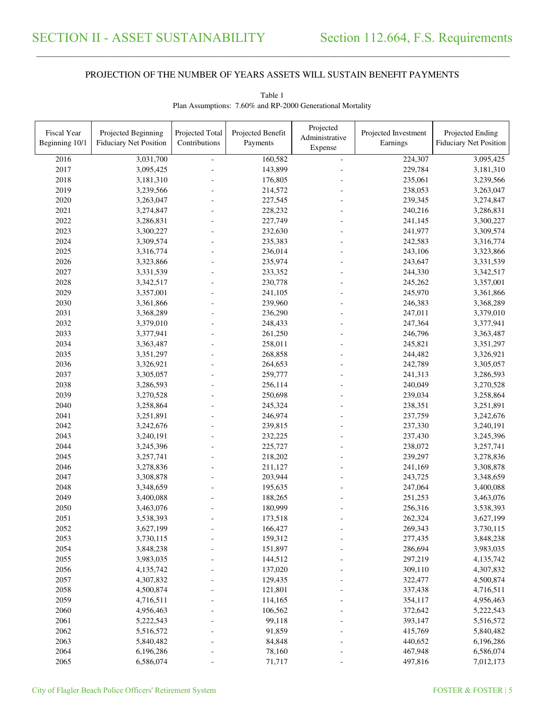\_\_\_\_\_\_\_\_\_\_\_\_\_\_\_\_\_\_\_\_\_\_\_\_\_\_\_\_\_\_\_\_\_\_\_\_\_\_\_\_\_\_\_\_\_\_\_\_\_\_\_\_\_\_\_\_\_\_\_\_\_\_\_\_\_\_\_\_\_\_\_\_\_\_\_\_\_\_\_\_\_\_\_\_\_\_\_\_\_\_\_\_\_\_\_\_\_\_\_\_\_\_\_\_\_\_\_\_\_\_\_\_\_\_\_\_\_\_\_\_\_\_\_\_\_\_\_\_\_\_\_\_\_\_\_\_\_\_\_\_\_\_\_\_\_\_\_\_\_\_

| Fiscal Year<br>Beginning 10/1 | Projected Beginning<br><b>Fiduciary Net Position</b> | Projected Total<br>Contributions | Projected Benefit<br>Payments | Projected<br>Administrative<br>Expense | Projected Investment<br>Earnings | Projected Ending<br><b>Fiduciary Net Position</b> |
|-------------------------------|------------------------------------------------------|----------------------------------|-------------------------------|----------------------------------------|----------------------------------|---------------------------------------------------|
| 2016                          | 3,031,700                                            |                                  | 160,582                       | $\equiv$                               | 224,307                          | 3,095,425                                         |
| 2017                          | 3,095,425                                            |                                  | 143,899                       |                                        | 229,784                          | 3,181,310                                         |
| 2018                          | 3,181,310                                            |                                  | 176,805                       |                                        | 235,061                          | 3,239,566                                         |
| 2019                          | 3,239,566                                            |                                  | 214,572                       |                                        | 238,053                          | 3,263,047                                         |
| 2020                          | 3,263,047                                            |                                  | 227,545                       |                                        | 239,345                          | 3,274,847                                         |
| 2021                          | 3,274,847                                            |                                  | 228,232                       |                                        | 240,216                          | 3,286,831                                         |
| 2022                          | 3,286,831                                            |                                  | 227,749                       |                                        | 241,145                          | 3,300,227                                         |
| 2023                          | 3,300,227                                            |                                  | 232,630                       |                                        | 241,977                          | 3,309,574                                         |
| 2024                          | 3,309,574                                            |                                  | 235,383                       |                                        | 242,583                          | 3,316,774                                         |
| 2025                          | 3,316,774                                            |                                  | 236,014                       |                                        | 243,106                          | 3,323,866                                         |
| 2026                          | 3,323,866                                            |                                  | 235,974                       |                                        | 243,647                          | 3,331,539                                         |
| 2027                          | 3,331,539                                            |                                  | 233,352                       |                                        | 244,330                          | 3,342,517                                         |
| 2028                          | 3,342,517                                            |                                  | 230,778                       |                                        | 245,262                          | 3,357,001                                         |
| 2029                          | 3,357,001                                            |                                  | 241,105                       |                                        | 245,970                          | 3,361,866                                         |
| 2030                          | 3,361,866                                            |                                  | 239,960                       |                                        | 246,383                          | 3,368,289                                         |
| 2031                          | 3,368,289                                            |                                  | 236,290                       |                                        | 247,011                          | 3,379,010                                         |
| 2032                          | 3,379,010                                            |                                  | 248,433                       |                                        | 247,364                          | 3,377,941                                         |
| 2033                          | 3,377,941                                            |                                  | 261,250                       |                                        | 246,796                          | 3,363,487                                         |
| 2034                          | 3,363,487                                            |                                  | 258,011                       |                                        | 245,821                          | 3,351,297                                         |
| 2035                          | 3,351,297                                            |                                  | 268,858                       |                                        | 244,482                          | 3,326,921                                         |
| 2036                          | 3,326,921                                            |                                  | 264,653                       |                                        | 242,789                          | 3,305,057                                         |
| 2037                          | 3,305,057                                            |                                  | 259,777                       |                                        | 241,313                          | 3,286,593                                         |
| 2038                          | 3,286,593                                            |                                  | 256,114                       |                                        | 240,049                          | 3,270,528                                         |
| 2039                          | 3,270,528                                            |                                  | 250,698                       |                                        | 239,034                          | 3,258,864                                         |
| 2040                          | 3,258,864                                            |                                  | 245,324                       |                                        | 238,351                          | 3,251,891                                         |
| 2041                          | 3,251,891                                            |                                  | 246,974                       |                                        | 237,759                          | 3,242,676                                         |
| 2042                          | 3,242,676                                            |                                  | 239,815                       |                                        | 237,330                          | 3,240,191                                         |
| 2043                          | 3,240,191                                            |                                  | 232,225                       |                                        | 237,430                          | 3,245,396                                         |
| 2044                          | 3,245,396                                            |                                  | 225,727                       |                                        | 238,072                          | 3,257,741                                         |
| 2045                          | 3,257,741                                            |                                  | 218,202                       |                                        | 239,297                          | 3,278,836                                         |
| 2046                          | 3,278,836                                            |                                  | 211,127                       |                                        | 241,169                          | 3,308,878                                         |
| 2047                          | 3,308,878                                            |                                  | 203,944                       |                                        | 243,725                          | 3,348,659                                         |
| 2048                          | 3,348,659                                            |                                  | 195,635                       |                                        | 247,064                          | 3,400,088                                         |
| 2049                          | 3,400,088                                            |                                  | 188,265                       |                                        | 251,253                          | 3,463,076                                         |
| 2050                          | 3,463,076                                            |                                  | 180,999                       |                                        | 256,316                          | 3,538,393                                         |
| 2051                          | 3,538,393                                            |                                  | 173,518                       |                                        | 262,324                          | 3,627,199                                         |
| 2052                          | 3,627,199                                            |                                  | 166,427                       |                                        | 269,343                          | 3,730,115                                         |
| 2053                          | 3,730,115                                            |                                  | 159,312                       |                                        | 277,435                          | 3,848,238                                         |
| 2054                          | 3,848,238                                            |                                  | 151,897                       |                                        | 286,694                          | 3,983,035                                         |
| 2055                          | 3,983,035                                            |                                  | 144,512                       |                                        | 297,219                          | 4,135,742                                         |
| 2056                          | 4,135,742                                            |                                  | 137,020                       |                                        | 309,110                          | 4,307,832                                         |
| 2057                          | 4,307,832                                            |                                  | 129,435                       |                                        | 322,477                          | 4,500,874                                         |
| 2058                          | 4,500,874                                            |                                  | 121,801                       |                                        | 337,438                          | 4,716,511                                         |
| 2059                          | 4,716,511                                            |                                  | 114,165                       |                                        | 354,117                          | 4,956,463                                         |
| 2060                          | 4,956,463                                            |                                  | 106,562                       |                                        | 372,642                          | 5,222,543                                         |
| 2061                          | 5,222,543                                            |                                  | 99,118                        |                                        | 393,147                          | 5,516,572                                         |
| 2062                          | 5,516,572                                            |                                  | 91,859                        |                                        | 415,769                          | 5,840,482                                         |
| 2063                          | 5,840,482                                            |                                  | 84,848                        |                                        | 440,652                          | 6,196,286                                         |
| 2064                          | 6,196,286                                            |                                  | 78,160                        |                                        | 467,948                          | 6,586,074                                         |
| 2065                          | 6,586,074                                            |                                  | 71,717                        |                                        | 497,816                          | 7,012,173                                         |

Table 1 Plan Assumptions: 7.60% and RP-2000 Generational Mortality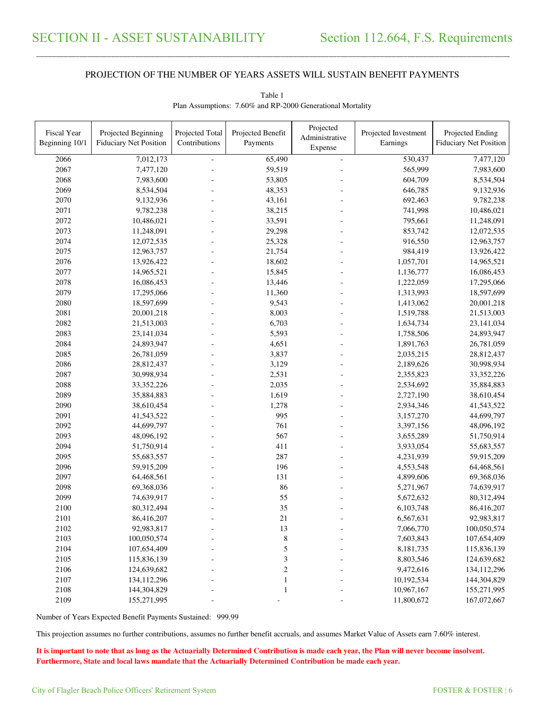\_\_\_\_\_\_\_\_\_\_\_\_\_\_\_\_\_\_\_\_\_\_\_\_\_\_\_\_\_\_\_\_\_\_\_\_\_\_\_\_\_\_\_\_\_\_\_\_\_\_\_\_\_\_\_\_\_\_\_\_\_\_\_\_\_\_\_\_\_\_\_\_\_\_\_\_\_\_\_\_\_\_\_\_\_\_\_\_\_\_\_\_\_\_\_\_\_\_\_\_\_\_\_\_\_\_\_\_\_\_\_\_\_\_\_\_\_\_\_\_\_\_\_\_\_\_\_\_\_\_\_\_\_\_\_\_\_\_\_\_\_\_\_\_\_\_\_\_\_\_

| Fiscal Year<br>Beginning 10/1 | Projected Beginning<br><b>Fiduciary Net Position</b> | Projected Total<br>Contributions | Projected Benefit<br>Payments | Projected<br>Administrative<br>Expense | Projected Investment<br>Earnings | Projected Ending<br><b>Fiduciary Net Position</b> |
|-------------------------------|------------------------------------------------------|----------------------------------|-------------------------------|----------------------------------------|----------------------------------|---------------------------------------------------|
| 2066                          | 7,012,173                                            |                                  | 65,490                        | $\bar{\phantom{a}}$                    | 530,437                          | 7,477,120                                         |
| 2067                          | 7,477,120                                            |                                  | 59,519                        |                                        | 565,999                          | 7,983,600                                         |
| 2068                          | 7,983,600                                            |                                  | 53,805                        |                                        | 604,709                          | 8,534,504                                         |
| 2069                          | 8,534,504                                            |                                  | 48,353                        |                                        | 646,785                          | 9,132,936                                         |
| 2070                          | 9,132,936                                            |                                  | 43,161                        |                                        | 692,463                          | 9,782,238                                         |
| 2071                          | 9,782,238                                            |                                  | 38,215                        |                                        | 741,998                          | 10,486,021                                        |
| 2072                          | 10,486,021                                           |                                  | 33,591                        |                                        | 795,661                          | 11,248,091                                        |
| 2073                          | 11,248,091                                           |                                  | 29,298                        |                                        | 853,742                          | 12,072,535                                        |
| 2074                          | 12,072,535                                           |                                  | 25,328                        |                                        | 916,550                          | 12,963,757                                        |
| 2075                          | 12,963,757                                           |                                  | 21,754                        |                                        | 984,419                          | 13,926,422                                        |
| 2076                          | 13,926,422                                           |                                  | 18,602                        |                                        | 1,057,701                        | 14,965,521                                        |
| 2077                          | 14,965,521                                           |                                  | 15,845                        |                                        | 1,136,777                        | 16,086,453                                        |
| 2078                          | 16,086,453                                           |                                  | 13,446                        |                                        | 1,222,059                        | 17,295,066                                        |
| 2079                          | 17,295,066                                           |                                  | 11,360                        |                                        | 1,313,993                        | 18,597,699                                        |
| 2080                          | 18,597,699                                           |                                  | 9,543                         |                                        | 1,413,062                        | 20,001,218                                        |
| 2081                          | 20,001,218                                           |                                  | 8,003                         |                                        | 1,519,788                        | 21,513,003                                        |
| 2082                          | 21,513,003                                           |                                  | 6,703                         |                                        | 1,634,734                        | 23,141,034                                        |
| 2083                          | 23,141,034                                           |                                  | 5,593                         |                                        | 1,758,506                        | 24,893,947                                        |
| 2084                          | 24,893,947                                           |                                  | 4,651                         |                                        | 1,891,763                        | 26,781,059                                        |
| 2085                          | 26,781,059                                           |                                  | 3,837                         |                                        | 2,035,215                        | 28,812,437                                        |
| 2086                          | 28,812,437                                           |                                  | 3,129                         |                                        | 2,189,626                        | 30,998,934                                        |
| 2087                          | 30,998,934                                           |                                  | 2,531                         |                                        | 2,355,823                        | 33, 352, 226                                      |
| 2088                          | 33, 352, 226                                         |                                  | 2,035                         |                                        | 2,534,692                        | 35,884,883                                        |
| 2089                          | 35,884,883                                           |                                  | 1,619                         |                                        | 2,727,190                        | 38,610,454                                        |
| 2090                          | 38,610,454                                           |                                  | 1,278                         |                                        | 2,934,346                        | 41,543,522                                        |
| 2091                          | 41,543,522                                           |                                  | 995                           |                                        | 3,157,270                        | 44,699,797                                        |
| 2092                          | 44,699,797                                           |                                  | 761                           |                                        | 3,397,156                        | 48,096,192                                        |
| 2093                          | 48,096,192                                           |                                  | 567                           |                                        | 3,655,289                        | 51,750,914                                        |
| 2094                          | 51,750,914                                           |                                  | 411                           |                                        | 3,933,054                        | 55,683,557                                        |
| 2095                          | 55,683,557                                           |                                  | 287                           |                                        | 4,231,939                        | 59,915,209                                        |
| 2096                          | 59,915,209                                           |                                  | 196                           |                                        | 4,553,548                        | 64,468,561                                        |
| 2097                          | 64,468,561                                           |                                  | 131                           |                                        | 4,899,606                        | 69,368,036                                        |
| 2098                          | 69,368,036                                           |                                  | 86                            |                                        | 5,271,967                        | 74,639,917                                        |
| 2099                          | 74,639,917                                           |                                  | 55                            |                                        | 5,672,632                        | 80,312,494                                        |
| 2100                          | 80,312,494                                           |                                  | 35                            |                                        | 6,103,748                        | 86,416,207                                        |
| 2101                          | 86,416,207                                           |                                  | 21                            |                                        | 6,567,631                        | 92,983,817                                        |
| 2102                          | 92,983,817                                           |                                  | 13                            |                                        | 7,066,770                        | 100,050,574                                       |
| 2103                          | 100,050,574                                          |                                  | $\,8\,$                       |                                        | 7,603,843                        | 107,654,409                                       |
| 2104                          | 107,654,409                                          |                                  | 5                             |                                        | 8,181,735                        | 115,836,139                                       |
| 2105                          | 115,836,139                                          |                                  | 3                             |                                        | 8,803,546                        | 124,639,682                                       |
| 2106                          | 124,639,682                                          |                                  | $\overline{\mathbf{c}}$       |                                        | 9,472,616                        | 134,112,296                                       |
| 2107                          | 134,112,296                                          |                                  | $\mathbf{1}$                  |                                        | 10,192,534                       | 144,304,829                                       |
| 2108                          | 144,304,829                                          |                                  | 1                             |                                        | 10,967,167                       | 155,271,995                                       |
| 2109                          | 155,271,995                                          |                                  |                               |                                        | 11,800,672                       | 167,072,667                                       |

Table 1 Plan Assumptions: 7.60% and RP-2000 Generational Mortality

Number of Years Expected Benefit Payments Sustained: 999.99

This projection assumes no further contributions, assumes no further benefit accruals, and assumes Market Value of Assets earn 7.60% interest.

**It is important to note that as long as the Actuarially Determined Contribution is made each year, the Plan will never become insolvent. Furthermore, State and local laws mandate that the Actuarially Determined Contribution be made each year.**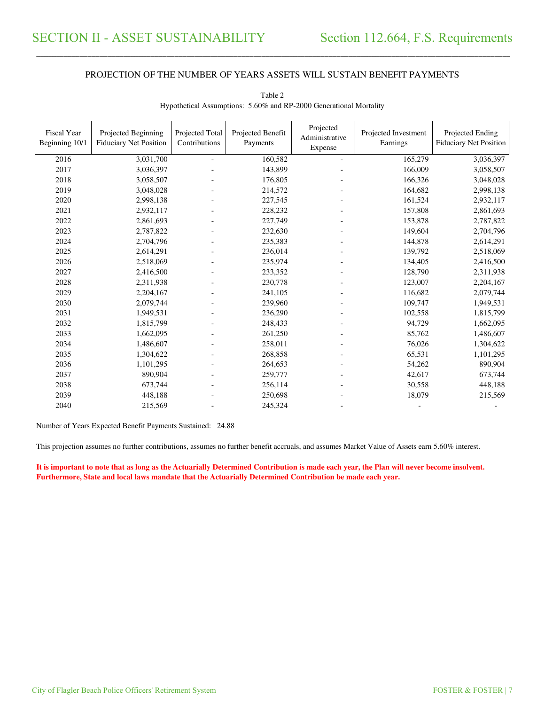\_\_\_\_\_\_\_\_\_\_\_\_\_\_\_\_\_\_\_\_\_\_\_\_\_\_\_\_\_\_\_\_\_\_\_\_\_\_\_\_\_\_\_\_\_\_\_\_\_\_\_\_\_\_\_\_\_\_\_\_\_\_\_\_\_\_\_\_\_\_\_\_\_\_\_\_\_\_\_\_\_\_\_\_\_\_\_\_\_\_\_\_\_\_\_\_\_\_\_\_\_\_\_\_\_\_\_\_\_\_\_\_\_\_\_\_\_\_\_\_\_\_\_\_\_\_\_\_\_\_\_\_\_\_\_\_\_\_\_\_\_\_\_\_\_\_\_\_\_\_

| <b>Fiscal Year</b><br>Beginning 10/1 | Projected Beginning<br><b>Fiduciary Net Position</b> | Projected Total<br>Contributions | Projected Benefit<br>Payments | Projected<br>Administrative<br>Expense | Projected Investment<br>Earnings | Projected Ending<br><b>Fiduciary Net Position</b> |
|--------------------------------------|------------------------------------------------------|----------------------------------|-------------------------------|----------------------------------------|----------------------------------|---------------------------------------------------|
| 2016                                 | 3,031,700                                            |                                  | 160,582                       | ÷.                                     | 165,279                          | 3,036,397                                         |
| 2017                                 | 3,036,397                                            |                                  | 143,899                       |                                        | 166,009                          | 3,058,507                                         |
| 2018                                 | 3,058,507                                            |                                  | 176,805                       |                                        | 166,326                          | 3,048,028                                         |
| 2019                                 | 3,048,028                                            |                                  | 214,572                       |                                        | 164,682                          | 2,998,138                                         |
| 2020                                 | 2,998,138                                            |                                  | 227,545                       |                                        | 161,524                          | 2,932,117                                         |
| 2021                                 | 2,932,117                                            |                                  | 228,232                       |                                        | 157,808                          | 2,861,693                                         |
| 2022                                 | 2,861,693                                            |                                  | 227,749                       |                                        | 153,878                          | 2,787,822                                         |
| 2023                                 | 2,787,822                                            |                                  | 232,630                       |                                        | 149,604                          | 2,704,796                                         |
| 2024                                 | 2,704,796                                            |                                  | 235,383                       |                                        | 144,878                          | 2,614,291                                         |
| 2025                                 | 2,614,291                                            |                                  | 236,014                       |                                        | 139,792                          | 2,518,069                                         |
| 2026                                 | 2,518,069                                            |                                  | 235,974                       |                                        | 134,405                          | 2,416,500                                         |
| 2027                                 | 2,416,500                                            |                                  | 233,352                       |                                        | 128,790                          | 2,311,938                                         |
| 2028                                 | 2,311,938                                            |                                  | 230,778                       |                                        | 123,007                          | 2,204,167                                         |
| 2029                                 | 2,204,167                                            |                                  | 241,105                       |                                        | 116,682                          | 2,079,744                                         |
| 2030                                 | 2,079,744                                            |                                  | 239,960                       |                                        | 109,747                          | 1,949,531                                         |
| 2031                                 | 1,949,531                                            |                                  | 236,290                       |                                        | 102,558                          | 1,815,799                                         |
| 2032                                 | 1,815,799                                            |                                  | 248,433                       |                                        | 94,729                           | 1,662,095                                         |
| 2033                                 | 1,662,095                                            |                                  | 261,250                       |                                        | 85,762                           | 1,486,607                                         |
| 2034                                 | 1,486,607                                            |                                  | 258,011                       |                                        | 76,026                           | 1,304,622                                         |
| 2035                                 | 1,304,622                                            |                                  | 268,858                       |                                        | 65,531                           | 1,101,295                                         |
| 2036                                 | 1,101,295                                            |                                  | 264,653                       |                                        | 54,262                           | 890,904                                           |
| 2037                                 | 890,904                                              |                                  | 259,777                       |                                        | 42,617                           | 673,744                                           |
| 2038                                 | 673,744                                              |                                  | 256,114                       |                                        | 30,558                           | 448,188                                           |
| 2039                                 | 448,188                                              |                                  | 250,698                       |                                        | 18,079                           | 215,569                                           |
| 2040                                 | 215,569                                              |                                  | 245,324                       |                                        |                                  |                                                   |

Table 2 Hypothetical Assumptions: 5.60% and RP-2000 Generational Mortality

Number of Years Expected Benefit Payments Sustained: 24.88

This projection assumes no further contributions, assumes no further benefit accruals, and assumes Market Value of Assets earn 5.60% interest.

**It is important to note that as long as the Actuarially Determined Contribution is made each year, the Plan will never become insolvent. Furthermore, State and local laws mandate that the Actuarially Determined Contribution be made each year.**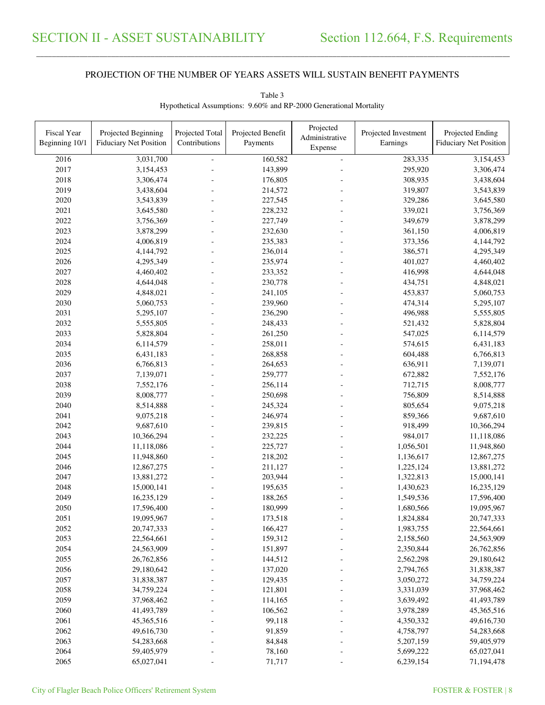\_\_\_\_\_\_\_\_\_\_\_\_\_\_\_\_\_\_\_\_\_\_\_\_\_\_\_\_\_\_\_\_\_\_\_\_\_\_\_\_\_\_\_\_\_\_\_\_\_\_\_\_\_\_\_\_\_\_\_\_\_\_\_\_\_\_\_\_\_\_\_\_\_\_\_\_\_\_\_\_\_\_\_\_\_\_\_\_\_\_\_\_\_\_\_\_\_\_\_\_\_\_\_\_\_\_\_\_\_\_\_\_\_\_\_\_\_\_\_\_\_\_\_\_\_\_\_\_\_\_\_\_\_\_\_\_\_\_\_\_\_\_\_\_\_\_\_\_\_\_

| 160,582<br>283,335<br>3,031,700<br>2016<br>3,154,453<br>÷,<br>2017<br>143,899<br>295,920<br>3,154,453<br>3,306,474<br>2018<br>176,805<br>308,935<br>3,306,474<br>3,438,604<br>2019<br>214,572<br>319,807<br>3,438,604<br>3,543,839<br>2020<br>227,545<br>329,286<br>3,543,839<br>3,645,580<br>2021<br>3,645,580<br>228,232<br>339,021<br>3,756,369<br>2022<br>227,749<br>349,679<br>3,878,299<br>3,756,369<br>2023<br>3,878,299<br>4,006,819<br>232,630<br>361,150<br>2024<br>4,006,819<br>235,383<br>373,356<br>4,144,792<br>2025<br>4,144,792<br>236,014<br>386,571<br>4,295,349<br>2026<br>235,974<br>401,027<br>4,295,349<br>4,460,402<br>2027<br>416,998<br>4,460,402<br>233,352<br>4,644,048<br>2028<br>434,751<br>4,644,048<br>230,778<br>4,848,021<br>2029<br>4,848,021<br>241,105<br>453,837<br>5,060,753<br>2030<br>5,060,753<br>239,960<br>474,314<br>5,295,107<br>2031<br>496,988<br>5,295,107<br>236,290<br>5,555,805<br>2032<br>5,555,805<br>248,433<br>521,432<br>5,828,804<br>2033<br>547,025<br>5,828,804<br>261,250<br>6,114,579<br>2034<br>6,114,579<br>258,011<br>574,615<br>6,431,183<br>2035<br>6,431,183<br>268,858<br>604,488<br>6,766,813<br>2036<br>636,911<br>6,766,813<br>264,653<br>7,139,071<br>2037<br>259,777<br>7,139,071<br>672,882<br>7,552,176<br>2038<br>712,715<br>7,552,176<br>256,114<br>8,008,777<br>2039<br>8,008,777<br>250,698<br>756,809<br>8,514,888<br>2040<br>8,514,888<br>245,324<br>805,654<br>9,075,218<br>2041<br>9,075,218<br>246,974<br>859,366<br>9,687,610<br>2042<br>9,687,610<br>918,499<br>239,815<br>10,366,294<br>2043<br>984,017<br>10,366,294<br>232,225<br>11,118,086<br>2044<br>11,118,086<br>225,727<br>1,056,501<br>11,948,860<br>2045<br>218,202<br>11,948,860<br>1,136,617<br>12,867,275<br>2046<br>211,127<br>13,881,272<br>12,867,275<br>1,225,124<br>203,944<br>2047<br>13,881,272<br>1,322,813<br>15,000,141<br>2048<br>15,000,141<br>195,635<br>1,430,623<br>16,235,129<br>2049<br>16,235,129<br>188,265<br>1,549,536<br>17,596,400<br>2050<br>17,596,400<br>180,999<br>1,680,566<br>19,095,967<br>173,518<br>2051<br>19,095,967<br>1,824,884<br>20,747,333<br>2052<br>20,747,333<br>166,427<br>1,983,755<br>22,564,661<br>2053<br>22,564,661<br>159,312<br>2,158,560<br>24,563,909<br>2054<br>24,563,909<br>151,897<br>2,350,844<br>26,762,856<br>2055<br>26,762,856<br>144,512<br>2,562,298<br>29,180,642<br>2056<br>29,180,642<br>137,020<br>2,794,765<br>31,838,387<br>2057<br>31,838,387<br>129,435<br>3,050,272<br>34,759,224<br>2058<br>121,801<br>34,759,224<br>3,331,039<br>37,968,462<br>2059<br>37,968,462<br>114,165<br>3,639,492<br>41,493,789 | Fiscal Year<br>Beginning 10/1 | Projected Beginning<br><b>Fiduciary Net Position</b> | Projected Total<br>Contributions | Projected Benefit<br>Payments | Projected<br>Administrative | Projected Investment<br>Earnings | Projected Ending<br><b>Fiduciary Net Position</b> |
|---------------------------------------------------------------------------------------------------------------------------------------------------------------------------------------------------------------------------------------------------------------------------------------------------------------------------------------------------------------------------------------------------------------------------------------------------------------------------------------------------------------------------------------------------------------------------------------------------------------------------------------------------------------------------------------------------------------------------------------------------------------------------------------------------------------------------------------------------------------------------------------------------------------------------------------------------------------------------------------------------------------------------------------------------------------------------------------------------------------------------------------------------------------------------------------------------------------------------------------------------------------------------------------------------------------------------------------------------------------------------------------------------------------------------------------------------------------------------------------------------------------------------------------------------------------------------------------------------------------------------------------------------------------------------------------------------------------------------------------------------------------------------------------------------------------------------------------------------------------------------------------------------------------------------------------------------------------------------------------------------------------------------------------------------------------------------------------------------------------------------------------------------------------------------------------------------------------------------------------------------------------------------------------------------------------------------------------------------------------------------------------------------------------------------------------------------------------------------------------------------------------------------------------------------------------------------------------------------------------------------------------|-------------------------------|------------------------------------------------------|----------------------------------|-------------------------------|-----------------------------|----------------------------------|---------------------------------------------------|
|                                                                                                                                                                                                                                                                                                                                                                                                                                                                                                                                                                                                                                                                                                                                                                                                                                                                                                                                                                                                                                                                                                                                                                                                                                                                                                                                                                                                                                                                                                                                                                                                                                                                                                                                                                                                                                                                                                                                                                                                                                                                                                                                                                                                                                                                                                                                                                                                                                                                                                                                                                                                                                       |                               |                                                      |                                  |                               | Expense                     |                                  |                                                   |
|                                                                                                                                                                                                                                                                                                                                                                                                                                                                                                                                                                                                                                                                                                                                                                                                                                                                                                                                                                                                                                                                                                                                                                                                                                                                                                                                                                                                                                                                                                                                                                                                                                                                                                                                                                                                                                                                                                                                                                                                                                                                                                                                                                                                                                                                                                                                                                                                                                                                                                                                                                                                                                       |                               |                                                      |                                  |                               |                             |                                  |                                                   |
|                                                                                                                                                                                                                                                                                                                                                                                                                                                                                                                                                                                                                                                                                                                                                                                                                                                                                                                                                                                                                                                                                                                                                                                                                                                                                                                                                                                                                                                                                                                                                                                                                                                                                                                                                                                                                                                                                                                                                                                                                                                                                                                                                                                                                                                                                                                                                                                                                                                                                                                                                                                                                                       |                               |                                                      |                                  |                               |                             |                                  |                                                   |
|                                                                                                                                                                                                                                                                                                                                                                                                                                                                                                                                                                                                                                                                                                                                                                                                                                                                                                                                                                                                                                                                                                                                                                                                                                                                                                                                                                                                                                                                                                                                                                                                                                                                                                                                                                                                                                                                                                                                                                                                                                                                                                                                                                                                                                                                                                                                                                                                                                                                                                                                                                                                                                       |                               |                                                      |                                  |                               |                             |                                  |                                                   |
|                                                                                                                                                                                                                                                                                                                                                                                                                                                                                                                                                                                                                                                                                                                                                                                                                                                                                                                                                                                                                                                                                                                                                                                                                                                                                                                                                                                                                                                                                                                                                                                                                                                                                                                                                                                                                                                                                                                                                                                                                                                                                                                                                                                                                                                                                                                                                                                                                                                                                                                                                                                                                                       |                               |                                                      |                                  |                               |                             |                                  |                                                   |
|                                                                                                                                                                                                                                                                                                                                                                                                                                                                                                                                                                                                                                                                                                                                                                                                                                                                                                                                                                                                                                                                                                                                                                                                                                                                                                                                                                                                                                                                                                                                                                                                                                                                                                                                                                                                                                                                                                                                                                                                                                                                                                                                                                                                                                                                                                                                                                                                                                                                                                                                                                                                                                       |                               |                                                      |                                  |                               |                             |                                  |                                                   |
|                                                                                                                                                                                                                                                                                                                                                                                                                                                                                                                                                                                                                                                                                                                                                                                                                                                                                                                                                                                                                                                                                                                                                                                                                                                                                                                                                                                                                                                                                                                                                                                                                                                                                                                                                                                                                                                                                                                                                                                                                                                                                                                                                                                                                                                                                                                                                                                                                                                                                                                                                                                                                                       |                               |                                                      |                                  |                               |                             |                                  |                                                   |
|                                                                                                                                                                                                                                                                                                                                                                                                                                                                                                                                                                                                                                                                                                                                                                                                                                                                                                                                                                                                                                                                                                                                                                                                                                                                                                                                                                                                                                                                                                                                                                                                                                                                                                                                                                                                                                                                                                                                                                                                                                                                                                                                                                                                                                                                                                                                                                                                                                                                                                                                                                                                                                       |                               |                                                      |                                  |                               |                             |                                  |                                                   |
|                                                                                                                                                                                                                                                                                                                                                                                                                                                                                                                                                                                                                                                                                                                                                                                                                                                                                                                                                                                                                                                                                                                                                                                                                                                                                                                                                                                                                                                                                                                                                                                                                                                                                                                                                                                                                                                                                                                                                                                                                                                                                                                                                                                                                                                                                                                                                                                                                                                                                                                                                                                                                                       |                               |                                                      |                                  |                               |                             |                                  |                                                   |
|                                                                                                                                                                                                                                                                                                                                                                                                                                                                                                                                                                                                                                                                                                                                                                                                                                                                                                                                                                                                                                                                                                                                                                                                                                                                                                                                                                                                                                                                                                                                                                                                                                                                                                                                                                                                                                                                                                                                                                                                                                                                                                                                                                                                                                                                                                                                                                                                                                                                                                                                                                                                                                       |                               |                                                      |                                  |                               |                             |                                  |                                                   |
|                                                                                                                                                                                                                                                                                                                                                                                                                                                                                                                                                                                                                                                                                                                                                                                                                                                                                                                                                                                                                                                                                                                                                                                                                                                                                                                                                                                                                                                                                                                                                                                                                                                                                                                                                                                                                                                                                                                                                                                                                                                                                                                                                                                                                                                                                                                                                                                                                                                                                                                                                                                                                                       |                               |                                                      |                                  |                               |                             |                                  |                                                   |
|                                                                                                                                                                                                                                                                                                                                                                                                                                                                                                                                                                                                                                                                                                                                                                                                                                                                                                                                                                                                                                                                                                                                                                                                                                                                                                                                                                                                                                                                                                                                                                                                                                                                                                                                                                                                                                                                                                                                                                                                                                                                                                                                                                                                                                                                                                                                                                                                                                                                                                                                                                                                                                       |                               |                                                      |                                  |                               |                             |                                  |                                                   |
|                                                                                                                                                                                                                                                                                                                                                                                                                                                                                                                                                                                                                                                                                                                                                                                                                                                                                                                                                                                                                                                                                                                                                                                                                                                                                                                                                                                                                                                                                                                                                                                                                                                                                                                                                                                                                                                                                                                                                                                                                                                                                                                                                                                                                                                                                                                                                                                                                                                                                                                                                                                                                                       |                               |                                                      |                                  |                               |                             |                                  |                                                   |
|                                                                                                                                                                                                                                                                                                                                                                                                                                                                                                                                                                                                                                                                                                                                                                                                                                                                                                                                                                                                                                                                                                                                                                                                                                                                                                                                                                                                                                                                                                                                                                                                                                                                                                                                                                                                                                                                                                                                                                                                                                                                                                                                                                                                                                                                                                                                                                                                                                                                                                                                                                                                                                       |                               |                                                      |                                  |                               |                             |                                  |                                                   |
|                                                                                                                                                                                                                                                                                                                                                                                                                                                                                                                                                                                                                                                                                                                                                                                                                                                                                                                                                                                                                                                                                                                                                                                                                                                                                                                                                                                                                                                                                                                                                                                                                                                                                                                                                                                                                                                                                                                                                                                                                                                                                                                                                                                                                                                                                                                                                                                                                                                                                                                                                                                                                                       |                               |                                                      |                                  |                               |                             |                                  |                                                   |
|                                                                                                                                                                                                                                                                                                                                                                                                                                                                                                                                                                                                                                                                                                                                                                                                                                                                                                                                                                                                                                                                                                                                                                                                                                                                                                                                                                                                                                                                                                                                                                                                                                                                                                                                                                                                                                                                                                                                                                                                                                                                                                                                                                                                                                                                                                                                                                                                                                                                                                                                                                                                                                       |                               |                                                      |                                  |                               |                             |                                  |                                                   |
|                                                                                                                                                                                                                                                                                                                                                                                                                                                                                                                                                                                                                                                                                                                                                                                                                                                                                                                                                                                                                                                                                                                                                                                                                                                                                                                                                                                                                                                                                                                                                                                                                                                                                                                                                                                                                                                                                                                                                                                                                                                                                                                                                                                                                                                                                                                                                                                                                                                                                                                                                                                                                                       |                               |                                                      |                                  |                               |                             |                                  |                                                   |
|                                                                                                                                                                                                                                                                                                                                                                                                                                                                                                                                                                                                                                                                                                                                                                                                                                                                                                                                                                                                                                                                                                                                                                                                                                                                                                                                                                                                                                                                                                                                                                                                                                                                                                                                                                                                                                                                                                                                                                                                                                                                                                                                                                                                                                                                                                                                                                                                                                                                                                                                                                                                                                       |                               |                                                      |                                  |                               |                             |                                  |                                                   |
|                                                                                                                                                                                                                                                                                                                                                                                                                                                                                                                                                                                                                                                                                                                                                                                                                                                                                                                                                                                                                                                                                                                                                                                                                                                                                                                                                                                                                                                                                                                                                                                                                                                                                                                                                                                                                                                                                                                                                                                                                                                                                                                                                                                                                                                                                                                                                                                                                                                                                                                                                                                                                                       |                               |                                                      |                                  |                               |                             |                                  |                                                   |
|                                                                                                                                                                                                                                                                                                                                                                                                                                                                                                                                                                                                                                                                                                                                                                                                                                                                                                                                                                                                                                                                                                                                                                                                                                                                                                                                                                                                                                                                                                                                                                                                                                                                                                                                                                                                                                                                                                                                                                                                                                                                                                                                                                                                                                                                                                                                                                                                                                                                                                                                                                                                                                       |                               |                                                      |                                  |                               |                             |                                  |                                                   |
|                                                                                                                                                                                                                                                                                                                                                                                                                                                                                                                                                                                                                                                                                                                                                                                                                                                                                                                                                                                                                                                                                                                                                                                                                                                                                                                                                                                                                                                                                                                                                                                                                                                                                                                                                                                                                                                                                                                                                                                                                                                                                                                                                                                                                                                                                                                                                                                                                                                                                                                                                                                                                                       |                               |                                                      |                                  |                               |                             |                                  |                                                   |
|                                                                                                                                                                                                                                                                                                                                                                                                                                                                                                                                                                                                                                                                                                                                                                                                                                                                                                                                                                                                                                                                                                                                                                                                                                                                                                                                                                                                                                                                                                                                                                                                                                                                                                                                                                                                                                                                                                                                                                                                                                                                                                                                                                                                                                                                                                                                                                                                                                                                                                                                                                                                                                       |                               |                                                      |                                  |                               |                             |                                  |                                                   |
|                                                                                                                                                                                                                                                                                                                                                                                                                                                                                                                                                                                                                                                                                                                                                                                                                                                                                                                                                                                                                                                                                                                                                                                                                                                                                                                                                                                                                                                                                                                                                                                                                                                                                                                                                                                                                                                                                                                                                                                                                                                                                                                                                                                                                                                                                                                                                                                                                                                                                                                                                                                                                                       |                               |                                                      |                                  |                               |                             |                                  |                                                   |
|                                                                                                                                                                                                                                                                                                                                                                                                                                                                                                                                                                                                                                                                                                                                                                                                                                                                                                                                                                                                                                                                                                                                                                                                                                                                                                                                                                                                                                                                                                                                                                                                                                                                                                                                                                                                                                                                                                                                                                                                                                                                                                                                                                                                                                                                                                                                                                                                                                                                                                                                                                                                                                       |                               |                                                      |                                  |                               |                             |                                  |                                                   |
|                                                                                                                                                                                                                                                                                                                                                                                                                                                                                                                                                                                                                                                                                                                                                                                                                                                                                                                                                                                                                                                                                                                                                                                                                                                                                                                                                                                                                                                                                                                                                                                                                                                                                                                                                                                                                                                                                                                                                                                                                                                                                                                                                                                                                                                                                                                                                                                                                                                                                                                                                                                                                                       |                               |                                                      |                                  |                               |                             |                                  |                                                   |
|                                                                                                                                                                                                                                                                                                                                                                                                                                                                                                                                                                                                                                                                                                                                                                                                                                                                                                                                                                                                                                                                                                                                                                                                                                                                                                                                                                                                                                                                                                                                                                                                                                                                                                                                                                                                                                                                                                                                                                                                                                                                                                                                                                                                                                                                                                                                                                                                                                                                                                                                                                                                                                       |                               |                                                      |                                  |                               |                             |                                  |                                                   |
|                                                                                                                                                                                                                                                                                                                                                                                                                                                                                                                                                                                                                                                                                                                                                                                                                                                                                                                                                                                                                                                                                                                                                                                                                                                                                                                                                                                                                                                                                                                                                                                                                                                                                                                                                                                                                                                                                                                                                                                                                                                                                                                                                                                                                                                                                                                                                                                                                                                                                                                                                                                                                                       |                               |                                                      |                                  |                               |                             |                                  |                                                   |
|                                                                                                                                                                                                                                                                                                                                                                                                                                                                                                                                                                                                                                                                                                                                                                                                                                                                                                                                                                                                                                                                                                                                                                                                                                                                                                                                                                                                                                                                                                                                                                                                                                                                                                                                                                                                                                                                                                                                                                                                                                                                                                                                                                                                                                                                                                                                                                                                                                                                                                                                                                                                                                       |                               |                                                      |                                  |                               |                             |                                  |                                                   |
|                                                                                                                                                                                                                                                                                                                                                                                                                                                                                                                                                                                                                                                                                                                                                                                                                                                                                                                                                                                                                                                                                                                                                                                                                                                                                                                                                                                                                                                                                                                                                                                                                                                                                                                                                                                                                                                                                                                                                                                                                                                                                                                                                                                                                                                                                                                                                                                                                                                                                                                                                                                                                                       |                               |                                                      |                                  |                               |                             |                                  |                                                   |
|                                                                                                                                                                                                                                                                                                                                                                                                                                                                                                                                                                                                                                                                                                                                                                                                                                                                                                                                                                                                                                                                                                                                                                                                                                                                                                                                                                                                                                                                                                                                                                                                                                                                                                                                                                                                                                                                                                                                                                                                                                                                                                                                                                                                                                                                                                                                                                                                                                                                                                                                                                                                                                       |                               |                                                      |                                  |                               |                             |                                  |                                                   |
|                                                                                                                                                                                                                                                                                                                                                                                                                                                                                                                                                                                                                                                                                                                                                                                                                                                                                                                                                                                                                                                                                                                                                                                                                                                                                                                                                                                                                                                                                                                                                                                                                                                                                                                                                                                                                                                                                                                                                                                                                                                                                                                                                                                                                                                                                                                                                                                                                                                                                                                                                                                                                                       |                               |                                                      |                                  |                               |                             |                                  |                                                   |
|                                                                                                                                                                                                                                                                                                                                                                                                                                                                                                                                                                                                                                                                                                                                                                                                                                                                                                                                                                                                                                                                                                                                                                                                                                                                                                                                                                                                                                                                                                                                                                                                                                                                                                                                                                                                                                                                                                                                                                                                                                                                                                                                                                                                                                                                                                                                                                                                                                                                                                                                                                                                                                       |                               |                                                      |                                  |                               |                             |                                  |                                                   |
|                                                                                                                                                                                                                                                                                                                                                                                                                                                                                                                                                                                                                                                                                                                                                                                                                                                                                                                                                                                                                                                                                                                                                                                                                                                                                                                                                                                                                                                                                                                                                                                                                                                                                                                                                                                                                                                                                                                                                                                                                                                                                                                                                                                                                                                                                                                                                                                                                                                                                                                                                                                                                                       |                               |                                                      |                                  |                               |                             |                                  |                                                   |
|                                                                                                                                                                                                                                                                                                                                                                                                                                                                                                                                                                                                                                                                                                                                                                                                                                                                                                                                                                                                                                                                                                                                                                                                                                                                                                                                                                                                                                                                                                                                                                                                                                                                                                                                                                                                                                                                                                                                                                                                                                                                                                                                                                                                                                                                                                                                                                                                                                                                                                                                                                                                                                       |                               |                                                      |                                  |                               |                             |                                  |                                                   |
|                                                                                                                                                                                                                                                                                                                                                                                                                                                                                                                                                                                                                                                                                                                                                                                                                                                                                                                                                                                                                                                                                                                                                                                                                                                                                                                                                                                                                                                                                                                                                                                                                                                                                                                                                                                                                                                                                                                                                                                                                                                                                                                                                                                                                                                                                                                                                                                                                                                                                                                                                                                                                                       |                               |                                                      |                                  |                               |                             |                                  |                                                   |
|                                                                                                                                                                                                                                                                                                                                                                                                                                                                                                                                                                                                                                                                                                                                                                                                                                                                                                                                                                                                                                                                                                                                                                                                                                                                                                                                                                                                                                                                                                                                                                                                                                                                                                                                                                                                                                                                                                                                                                                                                                                                                                                                                                                                                                                                                                                                                                                                                                                                                                                                                                                                                                       |                               |                                                      |                                  |                               |                             |                                  |                                                   |
|                                                                                                                                                                                                                                                                                                                                                                                                                                                                                                                                                                                                                                                                                                                                                                                                                                                                                                                                                                                                                                                                                                                                                                                                                                                                                                                                                                                                                                                                                                                                                                                                                                                                                                                                                                                                                                                                                                                                                                                                                                                                                                                                                                                                                                                                                                                                                                                                                                                                                                                                                                                                                                       |                               |                                                      |                                  |                               |                             |                                  |                                                   |
|                                                                                                                                                                                                                                                                                                                                                                                                                                                                                                                                                                                                                                                                                                                                                                                                                                                                                                                                                                                                                                                                                                                                                                                                                                                                                                                                                                                                                                                                                                                                                                                                                                                                                                                                                                                                                                                                                                                                                                                                                                                                                                                                                                                                                                                                                                                                                                                                                                                                                                                                                                                                                                       |                               |                                                      |                                  |                               |                             |                                  |                                                   |
|                                                                                                                                                                                                                                                                                                                                                                                                                                                                                                                                                                                                                                                                                                                                                                                                                                                                                                                                                                                                                                                                                                                                                                                                                                                                                                                                                                                                                                                                                                                                                                                                                                                                                                                                                                                                                                                                                                                                                                                                                                                                                                                                                                                                                                                                                                                                                                                                                                                                                                                                                                                                                                       |                               |                                                      |                                  |                               |                             |                                  |                                                   |
|                                                                                                                                                                                                                                                                                                                                                                                                                                                                                                                                                                                                                                                                                                                                                                                                                                                                                                                                                                                                                                                                                                                                                                                                                                                                                                                                                                                                                                                                                                                                                                                                                                                                                                                                                                                                                                                                                                                                                                                                                                                                                                                                                                                                                                                                                                                                                                                                                                                                                                                                                                                                                                       |                               |                                                      |                                  |                               |                             |                                  |                                                   |
|                                                                                                                                                                                                                                                                                                                                                                                                                                                                                                                                                                                                                                                                                                                                                                                                                                                                                                                                                                                                                                                                                                                                                                                                                                                                                                                                                                                                                                                                                                                                                                                                                                                                                                                                                                                                                                                                                                                                                                                                                                                                                                                                                                                                                                                                                                                                                                                                                                                                                                                                                                                                                                       |                               |                                                      |                                  |                               |                             |                                  |                                                   |
|                                                                                                                                                                                                                                                                                                                                                                                                                                                                                                                                                                                                                                                                                                                                                                                                                                                                                                                                                                                                                                                                                                                                                                                                                                                                                                                                                                                                                                                                                                                                                                                                                                                                                                                                                                                                                                                                                                                                                                                                                                                                                                                                                                                                                                                                                                                                                                                                                                                                                                                                                                                                                                       |                               |                                                      |                                  |                               |                             |                                  |                                                   |
|                                                                                                                                                                                                                                                                                                                                                                                                                                                                                                                                                                                                                                                                                                                                                                                                                                                                                                                                                                                                                                                                                                                                                                                                                                                                                                                                                                                                                                                                                                                                                                                                                                                                                                                                                                                                                                                                                                                                                                                                                                                                                                                                                                                                                                                                                                                                                                                                                                                                                                                                                                                                                                       |                               |                                                      |                                  |                               |                             |                                  |                                                   |
|                                                                                                                                                                                                                                                                                                                                                                                                                                                                                                                                                                                                                                                                                                                                                                                                                                                                                                                                                                                                                                                                                                                                                                                                                                                                                                                                                                                                                                                                                                                                                                                                                                                                                                                                                                                                                                                                                                                                                                                                                                                                                                                                                                                                                                                                                                                                                                                                                                                                                                                                                                                                                                       |                               |                                                      |                                  |                               |                             |                                  |                                                   |
|                                                                                                                                                                                                                                                                                                                                                                                                                                                                                                                                                                                                                                                                                                                                                                                                                                                                                                                                                                                                                                                                                                                                                                                                                                                                                                                                                                                                                                                                                                                                                                                                                                                                                                                                                                                                                                                                                                                                                                                                                                                                                                                                                                                                                                                                                                                                                                                                                                                                                                                                                                                                                                       |                               |                                                      |                                  |                               |                             |                                  |                                                   |
|                                                                                                                                                                                                                                                                                                                                                                                                                                                                                                                                                                                                                                                                                                                                                                                                                                                                                                                                                                                                                                                                                                                                                                                                                                                                                                                                                                                                                                                                                                                                                                                                                                                                                                                                                                                                                                                                                                                                                                                                                                                                                                                                                                                                                                                                                                                                                                                                                                                                                                                                                                                                                                       | 2060                          | 41,493,789                                           |                                  | 106,562                       |                             | 3,978,289                        | 45,365,516                                        |
| 2061<br>99,118<br>49,616,730<br>45,365,516<br>4,350,332                                                                                                                                                                                                                                                                                                                                                                                                                                                                                                                                                                                                                                                                                                                                                                                                                                                                                                                                                                                                                                                                                                                                                                                                                                                                                                                                                                                                                                                                                                                                                                                                                                                                                                                                                                                                                                                                                                                                                                                                                                                                                                                                                                                                                                                                                                                                                                                                                                                                                                                                                                               |                               |                                                      |                                  |                               |                             |                                  |                                                   |
| 2062<br>91,859<br>49,616,730<br>4,758,797<br>54,283,668                                                                                                                                                                                                                                                                                                                                                                                                                                                                                                                                                                                                                                                                                                                                                                                                                                                                                                                                                                                                                                                                                                                                                                                                                                                                                                                                                                                                                                                                                                                                                                                                                                                                                                                                                                                                                                                                                                                                                                                                                                                                                                                                                                                                                                                                                                                                                                                                                                                                                                                                                                               |                               |                                                      |                                  |                               |                             |                                  |                                                   |
| 2063<br>84,848<br>54,283,668<br>5,207,159<br>59,405,979                                                                                                                                                                                                                                                                                                                                                                                                                                                                                                                                                                                                                                                                                                                                                                                                                                                                                                                                                                                                                                                                                                                                                                                                                                                                                                                                                                                                                                                                                                                                                                                                                                                                                                                                                                                                                                                                                                                                                                                                                                                                                                                                                                                                                                                                                                                                                                                                                                                                                                                                                                               |                               |                                                      |                                  |                               |                             |                                  |                                                   |
| 2064<br>59,405,979<br>78,160<br>5,699,222<br>65,027,041                                                                                                                                                                                                                                                                                                                                                                                                                                                                                                                                                                                                                                                                                                                                                                                                                                                                                                                                                                                                                                                                                                                                                                                                                                                                                                                                                                                                                                                                                                                                                                                                                                                                                                                                                                                                                                                                                                                                                                                                                                                                                                                                                                                                                                                                                                                                                                                                                                                                                                                                                                               |                               |                                                      |                                  |                               |                             |                                  |                                                   |
| 2065<br>65,027,041<br>71,717<br>6,239,154<br>71,194,478                                                                                                                                                                                                                                                                                                                                                                                                                                                                                                                                                                                                                                                                                                                                                                                                                                                                                                                                                                                                                                                                                                                                                                                                                                                                                                                                                                                                                                                                                                                                                                                                                                                                                                                                                                                                                                                                                                                                                                                                                                                                                                                                                                                                                                                                                                                                                                                                                                                                                                                                                                               |                               |                                                      |                                  |                               |                             |                                  |                                                   |

Table 3 Hypothetical Assumptions: 9.60% and RP-2000 Generational Mortality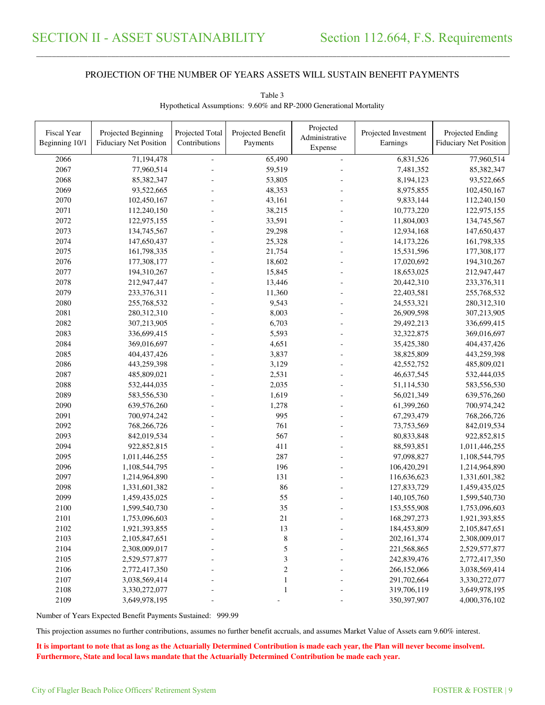\_\_\_\_\_\_\_\_\_\_\_\_\_\_\_\_\_\_\_\_\_\_\_\_\_\_\_\_\_\_\_\_\_\_\_\_\_\_\_\_\_\_\_\_\_\_\_\_\_\_\_\_\_\_\_\_\_\_\_\_\_\_\_\_\_\_\_\_\_\_\_\_\_\_\_\_\_\_\_\_\_\_\_\_\_\_\_\_\_\_\_\_\_\_\_\_\_\_\_\_\_\_\_\_\_\_\_\_\_\_\_\_\_\_\_\_\_\_\_\_\_\_\_\_\_\_\_\_\_\_\_\_\_\_\_\_\_\_\_\_\_\_\_\_\_\_\_\_\_\_

| Fiscal Year<br>Beginning 10/1 | Projected Beginning<br><b>Fiduciary Net Position</b> | Projected Total<br>Contributions | Projected Benefit<br>Payments | Projected<br>Administrative<br>Expense | Projected Investment<br>Earnings | Projected Ending<br><b>Fiduciary Net Position</b> |
|-------------------------------|------------------------------------------------------|----------------------------------|-------------------------------|----------------------------------------|----------------------------------|---------------------------------------------------|
| 2066                          | 71,194,478                                           | $\omega$                         | 65,490                        | ä,                                     | 6,831,526                        | 77,960,514                                        |
| 2067                          | 77,960,514                                           |                                  | 59,519                        |                                        | 7,481,352                        | 85,382,347                                        |
| 2068                          | 85,382,347                                           |                                  | 53,805                        |                                        | 8,194,123                        | 93,522,665                                        |
| 2069                          | 93,522,665                                           |                                  | 48,353                        |                                        | 8,975,855                        | 102,450,167                                       |
| 2070                          | 102,450,167                                          |                                  | 43,161                        |                                        | 9,833,144                        | 112,240,150                                       |
| 2071                          | 112,240,150                                          |                                  | 38,215                        |                                        | 10,773,220                       | 122,975,155                                       |
| 2072                          | 122,975,155                                          |                                  | 33,591                        |                                        | 11,804,003                       | 134,745,567                                       |
| 2073                          | 134,745,567                                          |                                  | 29,298                        |                                        | 12,934,168                       | 147,650,437                                       |
| 2074                          | 147,650,437                                          |                                  | 25,328                        |                                        | 14,173,226                       | 161,798,335                                       |
| 2075                          | 161,798,335                                          |                                  | 21,754                        |                                        | 15,531,596                       | 177,308,177                                       |
| 2076                          | 177,308,177                                          |                                  | 18,602                        |                                        | 17,020,692                       | 194,310,267                                       |
| 2077                          | 194,310,267                                          |                                  | 15,845                        |                                        | 18,653,025                       | 212,947,447                                       |
| 2078                          | 212,947,447                                          |                                  | 13,446                        |                                        | 20,442,310                       | 233,376,311                                       |
| 2079                          | 233,376,311                                          |                                  | 11,360                        |                                        | 22,403,581                       | 255,768,532                                       |
| 2080                          | 255,768,532                                          |                                  | 9,543                         |                                        | 24,553,321                       | 280, 312, 310                                     |
| 2081                          | 280,312,310                                          |                                  | 8,003                         |                                        | 26,909,598                       | 307,213,905                                       |
| 2082                          | 307,213,905                                          |                                  | 6,703                         |                                        | 29,492,213                       | 336,699,415                                       |
| 2083                          | 336,699,415                                          |                                  | 5,593                         |                                        | 32,322,875                       | 369,016,697                                       |
| 2084                          | 369,016,697                                          |                                  | 4,651                         |                                        | 35,425,380                       | 404,437,426                                       |
| 2085                          | 404,437,426                                          |                                  | 3,837                         |                                        | 38,825,809                       | 443,259,398                                       |
| 2086                          | 443,259,398                                          |                                  | 3,129                         |                                        | 42,552,752                       | 485,809,021                                       |
| 2087                          | 485,809,021                                          |                                  | 2,531                         |                                        | 46,637,545                       | 532,444,035                                       |
| 2088                          | 532,444,035                                          |                                  | 2,035                         |                                        | 51,114,530                       | 583,556,530                                       |
| 2089                          | 583,556,530                                          |                                  | 1,619                         |                                        | 56,021,349                       | 639,576,260                                       |
| 2090                          | 639,576,260                                          |                                  | 1,278                         |                                        | 61,399,260                       | 700,974,242                                       |
| 2091                          | 700,974,242                                          |                                  | 995                           |                                        | 67,293,479                       | 768,266,726                                       |
| 2092                          | 768,266,726                                          |                                  | 761                           |                                        | 73,753,569                       | 842,019,534                                       |
| 2093                          | 842,019,534                                          |                                  | 567                           |                                        | 80,833,848                       | 922,852,815                                       |
| 2094                          | 922,852,815                                          |                                  | 411                           |                                        | 88,593,851                       | 1,011,446,255                                     |
| 2095                          | 1,011,446,255                                        |                                  | 287                           |                                        | 97,098,827                       | 1,108,544,795                                     |
| 2096                          | 1,108,544,795                                        |                                  | 196                           |                                        | 106,420,291                      | 1,214,964,890                                     |
| 2097                          | 1,214,964,890                                        |                                  | 131                           |                                        | 116,636,623                      | 1,331,601,382                                     |
| 2098                          | 1,331,601,382                                        |                                  | 86                            |                                        | 127,833,729                      | 1,459,435,025                                     |
| 2099                          | 1,459,435,025                                        |                                  | 55                            |                                        | 140, 105, 760                    | 1,599,540,730                                     |
| 2100                          | 1,599,540,730                                        |                                  | 35                            |                                        | 153,555,908                      | 1,753,096,603                                     |
| 2101                          | 1,753,096,603                                        |                                  | 21                            |                                        | 168,297,273                      | 1,921,393,855                                     |
| 2102                          | 1,921,393,855                                        |                                  | 13                            |                                        | 184,453,809                      | 2,105,847,651                                     |
| 2103                          | 2,105,847,651                                        |                                  | $\,$ 8 $\,$                   |                                        | 202,161,374                      | 2,308,009,017                                     |
| 2104                          | 2,308,009,017                                        |                                  | 5                             |                                        | 221,568,865                      | 2,529,577,877                                     |
| 2105                          | 2,529,577,877                                        |                                  | $\mathfrak{Z}$                |                                        | 242,839,476                      | 2,772,417,350                                     |
| 2106                          | 2,772,417,350                                        |                                  | $\boldsymbol{2}$              |                                        | 266,152,066                      | 3,038,569,414                                     |
| 2107<br>2108                  | 3,038,569,414<br>3,330,272,077                       |                                  | $\mathbf{1}$<br>$\mathbf{1}$  |                                        | 291,702,664<br>319,706,119       | 3,330,272,077                                     |
| 2109                          | 3,649,978,195                                        |                                  |                               |                                        | 350,397,907                      | 3,649,978,195<br>4,000,376,102                    |
|                               |                                                      |                                  |                               |                                        |                                  |                                                   |

Table 3 Hypothetical Assumptions: 9.60% and RP-2000 Generational Mortality

Number of Years Expected Benefit Payments Sustained: 999.99

This projection assumes no further contributions, assumes no further benefit accruals, and assumes Market Value of Assets earn 9.60% interest.

**It is important to note that as long as the Actuarially Determined Contribution is made each year, the Plan will never become insolvent. Furthermore, State and local laws mandate that the Actuarially Determined Contribution be made each year.**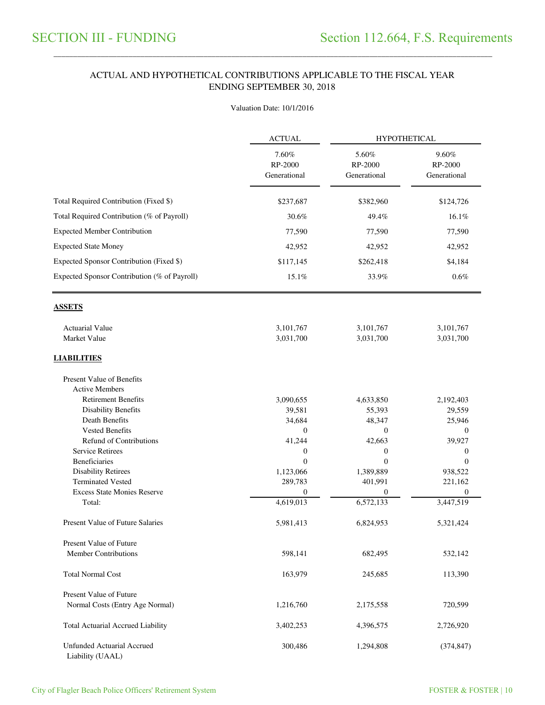\_\_\_\_\_\_\_\_\_\_\_\_\_\_\_\_\_\_\_\_\_\_\_\_\_\_\_\_\_\_\_\_\_\_\_\_\_\_\_\_\_\_\_\_\_\_\_\_\_\_\_\_\_\_\_\_\_\_\_\_\_\_\_\_\_\_\_\_\_\_\_\_\_\_\_\_\_\_\_\_\_\_\_\_\_\_\_\_\_\_\_\_\_\_\_\_\_\_\_\_\_\_\_\_\_\_\_\_\_\_\_\_\_\_\_\_\_\_\_\_\_\_\_\_\_\_\_\_\_\_\_\_\_\_\_\_\_\_\_\_\_\_\_\_\_\_\_\_\_\_

### ACTUAL AND HYPOTHETICAL CONTRIBUTIONS APPLICABLE TO THE FISCAL YEAR ENDING SEPTEMBER 30, 2018

#### Valuation Date: 10/1/2016

|                                                       | <b>ACTUAL</b>                    | <b>HYPOTHETICAL</b>              |                                  |  |
|-------------------------------------------------------|----------------------------------|----------------------------------|----------------------------------|--|
|                                                       | 7.60%<br>RP-2000<br>Generational | 5.60%<br>RP-2000<br>Generational | 9.60%<br>RP-2000<br>Generational |  |
| Total Required Contribution (Fixed \$)                | \$237,687                        | \$382,960                        | \$124,726                        |  |
| Total Required Contribution (% of Payroll)            | 30.6%                            | 49.4%                            | 16.1%                            |  |
| <b>Expected Member Contribution</b>                   | 77,590                           | 77,590                           | 77,590                           |  |
| <b>Expected State Money</b>                           | 42,952                           | 42,952                           | 42,952                           |  |
| Expected Sponsor Contribution (Fixed \$)              | \$117,145                        | \$262,418                        | \$4,184                          |  |
| Expected Sponsor Contribution (% of Payroll)          | 15.1%                            | 33.9%                            | $0.6\%$                          |  |
| <b>ASSETS</b>                                         |                                  |                                  |                                  |  |
| <b>Actuarial Value</b>                                | 3,101,767                        | 3,101,767                        | 3,101,767                        |  |
| Market Value                                          | 3,031,700                        | 3,031,700                        | 3,031,700                        |  |
| <b>LIABILITIES</b>                                    |                                  |                                  |                                  |  |
| Present Value of Benefits<br><b>Active Members</b>    |                                  |                                  |                                  |  |
| <b>Retirement Benefits</b>                            | 3,090,655                        | 4,633,850                        | 2,192,403                        |  |
| <b>Disability Benefits</b>                            | 39,581                           | 55,393                           | 29,559                           |  |
| Death Benefits                                        | 34,684                           | 48,347                           | 25,946                           |  |
| <b>Vested Benefits</b>                                | $\boldsymbol{0}$                 | $\boldsymbol{0}$                 | 0                                |  |
| <b>Refund of Contributions</b>                        | 41,244                           | 42,663                           | 39,927                           |  |
| <b>Service Retirees</b>                               | 0                                | $\boldsymbol{0}$                 | 0                                |  |
| <b>Beneficiaries</b>                                  | $\theta$                         | $\theta$                         | $\theta$                         |  |
| <b>Disability Retirees</b>                            | 1,123,066                        | 1,389,889                        | 938,522                          |  |
| <b>Terminated Vested</b>                              | 289,783                          | 401,991                          | 221,162                          |  |
| <b>Excess State Monies Reserve</b>                    | $\mathbf{0}$                     | $\boldsymbol{0}$                 | $\boldsymbol{0}$                 |  |
| Total:                                                | 4,619,013                        | 6,572,133                        | 3,447,519                        |  |
| <b>Present Value of Future Salaries</b>               | 5,981,413                        | 6,824,953                        | 5,321,424                        |  |
| <b>Present Value of Future</b>                        |                                  |                                  |                                  |  |
| <b>Member Contributions</b>                           | 598,141                          | 682,495                          | 532,142                          |  |
| <b>Total Normal Cost</b>                              | 163,979                          | 245,685                          | 113,390                          |  |
| <b>Present Value of Future</b>                        |                                  |                                  |                                  |  |
| Normal Costs (Entry Age Normal)                       | 1,216,760                        | 2,175,558                        | 720,599                          |  |
| <b>Total Actuarial Accrued Liability</b>              | 3,402,253                        | 4,396,575                        | 2,726,920                        |  |
| <b>Unfunded Actuarial Accrued</b><br>Liability (UAAL) | 300,486                          | 1,294,808                        | (374, 847)                       |  |